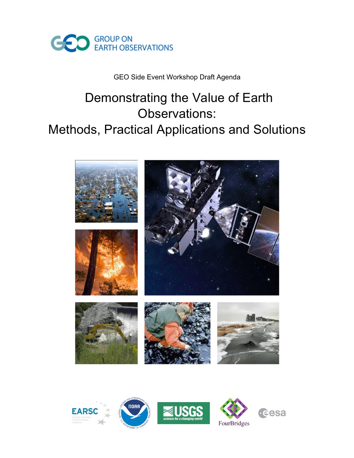

#### GEO Side Event Workshop Draft Agenda

## Demonstrating the Value of Earth Observations: Methods, Practical Applications and Solutions



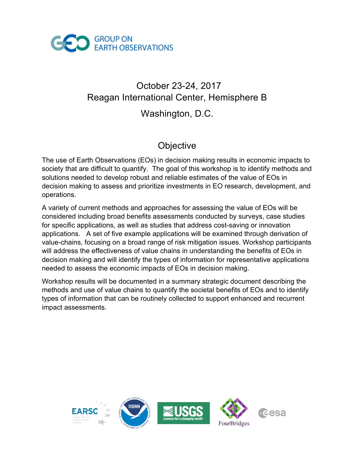

# October 23-24, 2017 Reagan International Center, Hemisphere B

## Washington, D.C.

## **Objective**

The use of Earth Observations (EOs) in decision making results in economic impacts to society that are difficult to quantify. The goal of this workshop is to identify methods and solutions needed to develop robust and reliable estimates of the value of EOs in decision making to assess and prioritize investments in EO research, development, and operations.

A variety of current methods and approaches for assessing the value of EOs will be considered including broad benefits assessments conducted by surveys, case studies for specific applications, as well as studies that address cost-saving or innovation applications. A set of five example applications will be examined through derivation of value-chains, focusing on a broad range of risk mitigation issues. Workshop participants will address the effectiveness of value chains in understanding the benefits of EOs in decision making and will identify the types of information for representative applications needed to assess the economic impacts of EOs in decision making.

Workshop results will be documented in a summary strategic document describing the methods and use of value chains to quantify the societal benefits of EOs and to identify types of information that can be routinely collected to support enhanced and recurrent impact assessments.

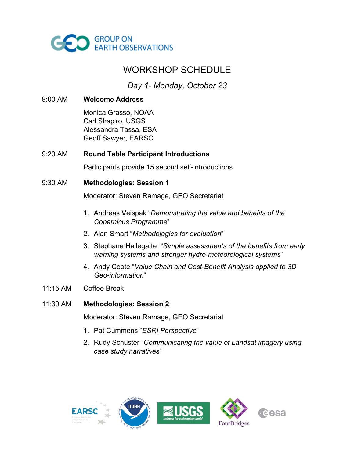

### WORKSHOP SCHEDULE

*Day 1- Monday, October 23*

9:00 AM **Welcome Address**

Monica Grasso, NOAA Carl Shapiro, USGS Alessandra Tassa, ESA Geoff Sawyer, EARSC

#### 9:20 AM **Round Table Participant Introductions**

Participants provide 15 second self-introductions

9:30 AM **Methodologies: Session 1**

Moderator: Steven Ramage, GEO Secretariat

- 1. Andreas Veispak "*Demonstrating the value and benefits of the Copernicus Programme*"
- 2. Alan Smart "*Methodologies for evaluation*"
- 3. Stephane Hallegatte "*Simple assessments of the benefits from early warning systems and stronger hydro-meteorological systems*"
- 4. Andy Coote "*Value Chain and Cost-Benefit Analysis applied to 3D Geo-information*"
- 11:15 AM Coffee Break

#### 11:30 AM **Methodologies: Session 2**

Moderator: Steven Ramage, GEO Secretariat

- 1. Pat Cummens "*ESRI Perspective*"
- 2. Rudy Schuster "*Communicating the value of Landsat imagery using case study narratives*"

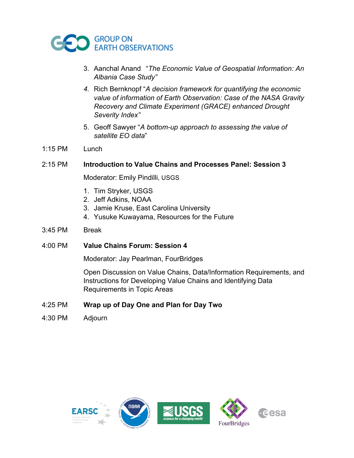

- 3. Aanchal Anand "*The Economic Value of Geospatial Information: An Albania Case Study"*
- *4.* Rich Bernknopf "*A decision framework for quantifying the economic value of information of Earth Observation: Case of the NASA Gravity Recovery and Climate Experiment (GRACE) enhanced Drought Severity Index"*
- 5. Geoff Sawyer "*A bottom-up approach to assessing the value of satellite EO data*"
- 1:15 PM Lunch

#### 2:15 PM **Introduction to Value Chains and Processes Panel: Session 3**

Moderator: Emily Pindilli, USGS

- 1. Tim Stryker, USGS
- 2. Jeff Adkins, NOAA
- 3. Jamie Kruse, East Carolina University
- 4. Yusuke Kuwayama, Resources for the Future
- 3:45 PM Break
- 4:00 PM **Value Chains Forum: Session 4**

Moderator: Jay Pearlman, FourBridges

Open Discussion on Value Chains, Data/Information Requirements, and Instructions for Developing Value Chains and Identifying Data Requirements in Topic Areas

#### 4:25 PM **Wrap up of Day One and Plan for Day Two**

4:30 PM Adjourn